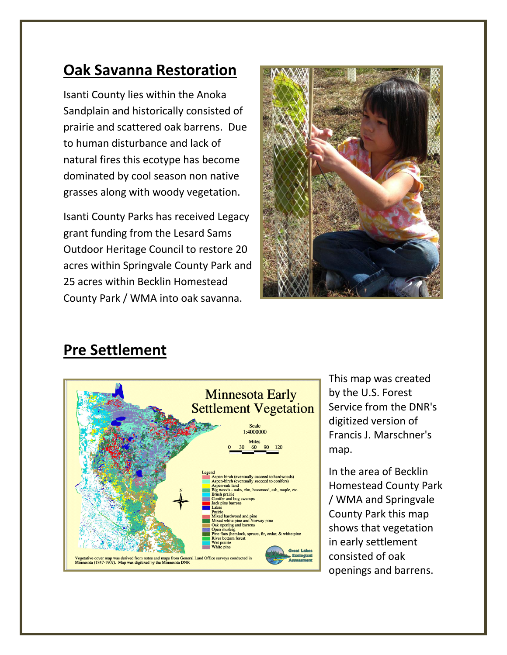## **Oak Savanna Restoration**

Isanti County lies within the Anoka Sandplain and historically consisted of prairie and scattered oak barrens. Due to human disturbance and lack of natural fires this ecotype has become dominated by cool season non native grasses along with woody vegetation.

Isanti County Parks has received Legacy grant funding from the Lesard Sams Outdoor Heritage Council to restore 20 acres within Springvale County Park and 25 acres within Becklin Homestead County Park / WMA into oak savanna.



## **Pre Settlement**



This map was created by the U.S. Forest Service from the DNR's digitized version of Francis J. Marschner's map.

In the area of Becklin Homestead County Park / WMA and Springvale County Park this map shows that vegetation in early settlement consisted of oak openings and barrens.